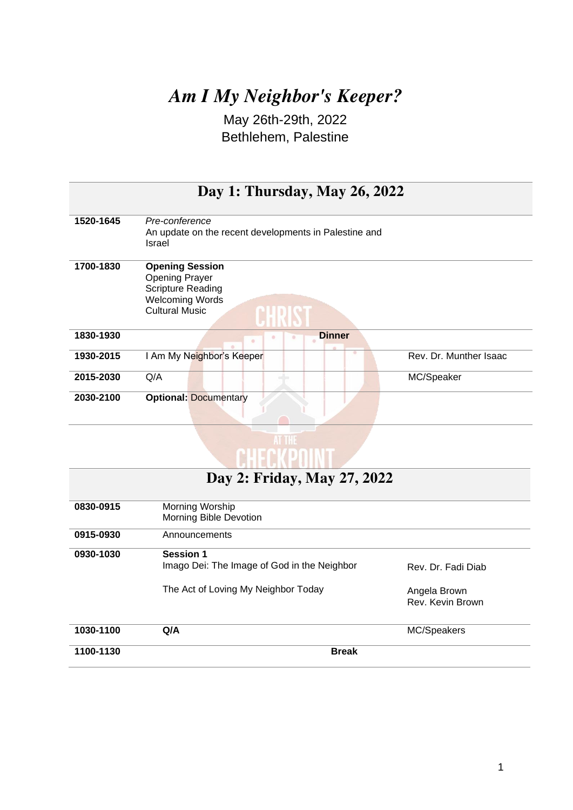## *Am I My Neighbor's Keeper?*

May 26th-29th, 2022 Bethlehem, Palestine

| Day 1: Thursday, May 26, 2022 |                                                                                                                                |                             |  |
|-------------------------------|--------------------------------------------------------------------------------------------------------------------------------|-----------------------------|--|
| 1520-1645                     | Pre-conference<br>An update on the recent developments in Palestine and<br>Israel                                              |                             |  |
| 1700-1830                     | <b>Opening Session</b><br><b>Opening Prayer</b><br><b>Scripture Reading</b><br><b>Welcoming Words</b><br><b>Cultural Music</b> |                             |  |
| 1830-1930                     | <b>Dinner</b><br>٠                                                                                                             |                             |  |
| 1930-2015                     | I Am My Neighbor's Keeper                                                                                                      | ۰<br>Rev. Dr. Munther Isaac |  |
| 2015-2030                     | Q/A                                                                                                                            | MC/Speaker                  |  |
| 2030-2100                     | <b>Optional: Documentary</b>                                                                                                   |                             |  |



| Day 2: Friday, May 27, 2022 |                                                                                                        |                                                        |  |
|-----------------------------|--------------------------------------------------------------------------------------------------------|--------------------------------------------------------|--|
| 0830-0915                   | Morning Worship<br>Morning Bible Devotion                                                              |                                                        |  |
| 0915-0930                   | Announcements                                                                                          |                                                        |  |
| 0930-1030                   | <b>Session 1</b><br>Imago Dei: The Image of God in the Neighbor<br>The Act of Loving My Neighbor Today | Rev. Dr. Fadi Diab<br>Angela Brown<br>Rev. Kevin Brown |  |
| 1030-1100                   | Q/A                                                                                                    | MC/Speakers                                            |  |
| 1100-1130                   | <b>Break</b>                                                                                           |                                                        |  |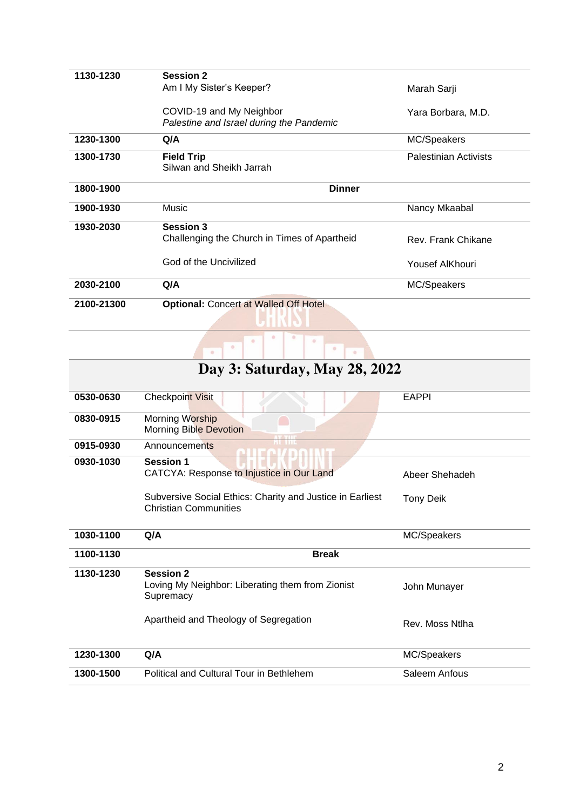| 1130-1230  | <b>Session 2</b>                                                     |                              |
|------------|----------------------------------------------------------------------|------------------------------|
|            | Am I My Sister's Keeper?                                             | Marah Sarji                  |
|            | COVID-19 and My Neighbor<br>Palestine and Israel during the Pandemic | Yara Borbara, M.D.           |
| 1230-1300  | Q/A                                                                  | MC/Speakers                  |
| 1300-1730  | <b>Field Trip</b><br>Silwan and Sheikh Jarrah                        | <b>Palestinian Activists</b> |
| 1800-1900  | <b>Dinner</b>                                                        |                              |
| 1900-1930  | Music                                                                | Nancy Mkaabal                |
| 1930-2030  | <b>Session 3</b><br>Challenging the Church in Times of Apartheid     | Rev. Frank Chikane           |
|            | God of the Uncivilized                                               | Yousef AlKhouri              |
| 2030-2100  | Q/A                                                                  | MC/Speakers                  |
| 2100-21300 | <b>Optional: Concert at Walled Off Hotel</b>                         |                              |
|            | $\circ$<br>٠<br>۰<br>$\alpha$<br>$\circ$                             |                              |

| Day 3: Saturday, May 28, 2022 |                                                                                           |                  |  |  |
|-------------------------------|-------------------------------------------------------------------------------------------|------------------|--|--|
| 0530-0630                     | <b>Checkpoint Visit</b>                                                                   | <b>EAPPI</b>     |  |  |
| 0830-0915                     | Morning Worship<br>Morning Bible Devotion                                                 |                  |  |  |
| 0915-0930                     | Announcements<br>$\sqrt{D}$                                                               |                  |  |  |
| 0930-1030                     | <b>Session 1</b><br>CATCYA: Response to Injustice in Our Land                             | Abeer Shehadeh   |  |  |
|                               | Subversive Social Ethics: Charity and Justice in Earliest<br><b>Christian Communities</b> | <b>Tony Deik</b> |  |  |
| 1030-1100                     | Q/A                                                                                       | MC/Speakers      |  |  |
| 1100-1130                     | <b>Break</b>                                                                              |                  |  |  |
| 1130-1230                     | <b>Session 2</b><br>Loving My Neighbor: Liberating them from Zionist<br>Supremacy         | John Munayer     |  |  |
|                               | Apartheid and Theology of Segregation                                                     | Rev. Moss Ntlha  |  |  |
| 1230-1300                     | Q/A                                                                                       | MC/Speakers      |  |  |
| 1300-1500                     | Political and Cultural Tour in Bethlehem                                                  | Saleem Anfous    |  |  |
|                               |                                                                                           |                  |  |  |